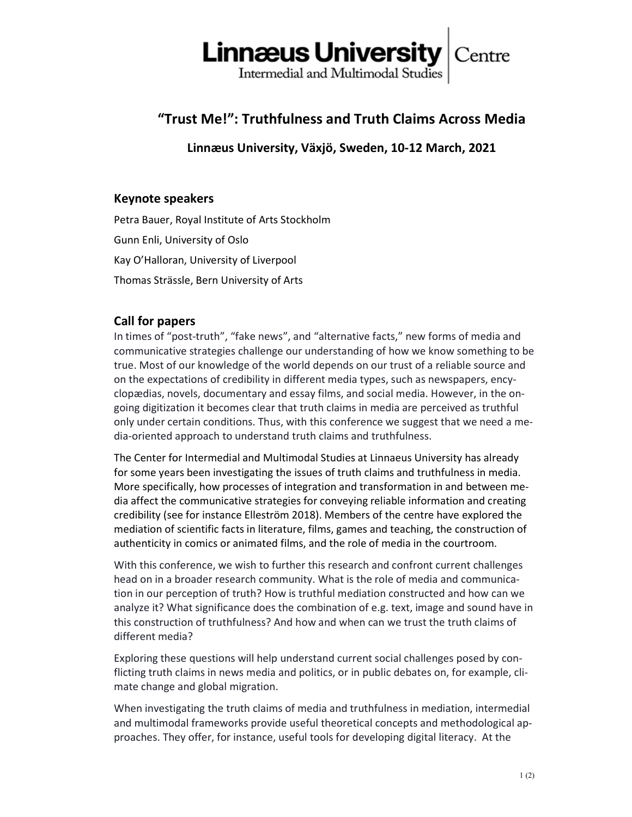

# "Trust Me!": Truthfulness and Truth Claims Across Media

Linnæus University, Växjö, Sweden, 10-12 March, 2021

# Keynote speakers

Petra Bauer, Royal Institute of Arts Stockholm Gunn Enli, University of Oslo Kay O'Halloran, University of Liverpool Thomas Strässle, Bern University of Arts

# Call for papers

In times of "post-truth", "fake news", and "alternative facts," new forms of media and communicative strategies challenge our understanding of how we know something to be true. Most of our knowledge of the world depends on our trust of a reliable source and on the expectations of credibility in different media types, such as newspapers, encyclopædias, novels, documentary and essay films, and social media. However, in the ongoing digitization it becomes clear that truth claims in media are perceived as truthful only under certain conditions. Thus, with this conference we suggest that we need a media-oriented approach to understand truth claims and truthfulness.

The Center for Intermedial and Multimodal Studies at Linnaeus University has already for some years been investigating the issues of truth claims and truthfulness in media. More specifically, how processes of integration and transformation in and between media affect the communicative strategies for conveying reliable information and creating credibility (see for instance Elleström 2018). Members of the centre have explored the mediation of scientific facts in literature, films, games and teaching, the construction of authenticity in comics or animated films, and the role of media in the courtroom.

With this conference, we wish to further this research and confront current challenges head on in a broader research community. What is the role of media and communication in our perception of truth? How is truthful mediation constructed and how can we analyze it? What significance does the combination of e.g. text, image and sound have in this construction of truthfulness? And how and when can we trust the truth claims of different media?

Exploring these questions will help understand current social challenges posed by conflicting truth claims in news media and politics, or in public debates on, for example, climate change and global migration.

When investigating the truth claims of media and truthfulness in mediation, intermedial and multimodal frameworks provide useful theoretical concepts and methodological approaches. They offer, for instance, useful tools for developing digital literacy. At the